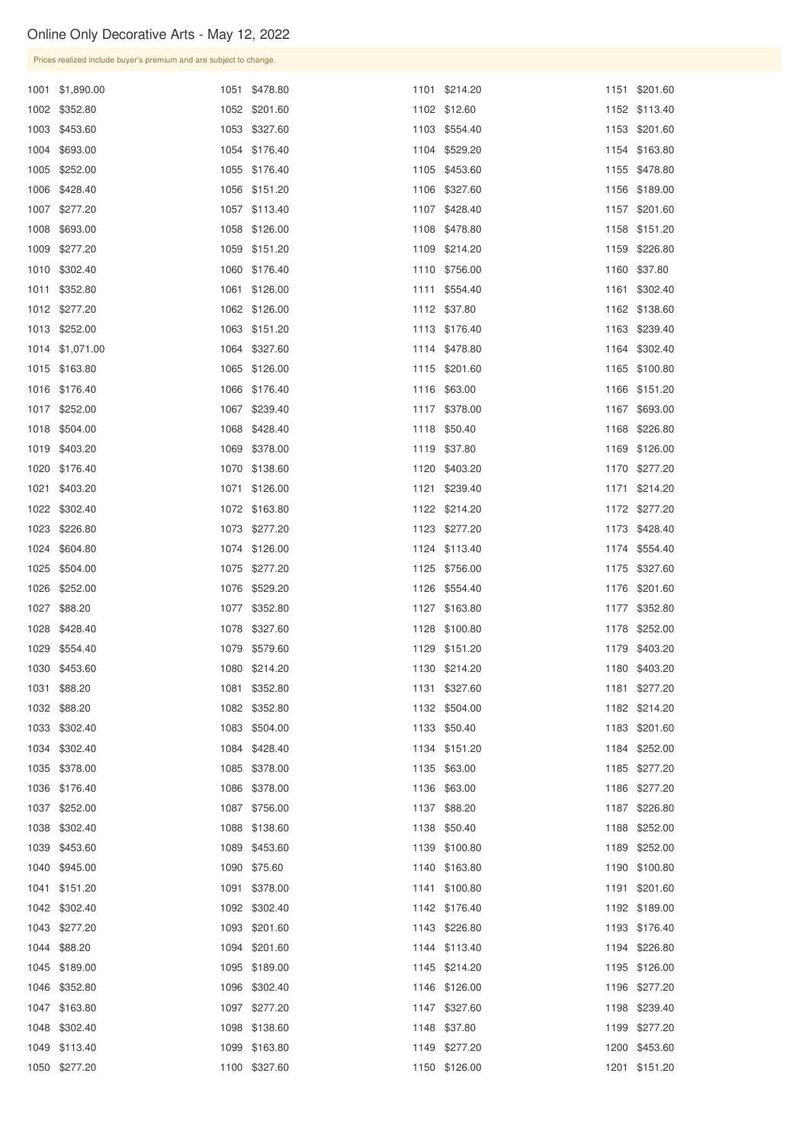| Prices realized include buyer's premium and are subject to change. |  |                                |  |                               |  |                                |  |  |
|--------------------------------------------------------------------|--|--------------------------------|--|-------------------------------|--|--------------------------------|--|--|
| 1001 \$1,890.00                                                    |  | 1051 \$478.80                  |  | 1101 \$214.20                 |  | 1151 \$201.60                  |  |  |
| 1002 \$352.80                                                      |  | 1052 \$201.60                  |  | 1102 \$12.60                  |  | 1152 \$113.40                  |  |  |
| 1003 \$453.60                                                      |  | 1053 \$327.60                  |  | 1103 \$554.40                 |  | 1153 \$201.60                  |  |  |
| 1004 \$693.00                                                      |  | 1054 \$176.40                  |  | 1104 \$529.20                 |  | 1154 \$163.80                  |  |  |
| 1005 \$252.00                                                      |  | 1055 \$176.40                  |  | 1105 \$453.60                 |  | 1155 \$478.80                  |  |  |
| 1006 \$428.40                                                      |  | 1056 \$151.20                  |  | 1106 \$327.60                 |  | 1156 \$189.00                  |  |  |
| 1007 \$277.20                                                      |  | 1057 \$113.40                  |  | 1107 \$428.40                 |  | 1157 \$201.60                  |  |  |
| 1008 \$693.00                                                      |  | 1058 \$126.00                  |  | 1108 \$478.80                 |  | 1158 \$151.20                  |  |  |
| 1009 \$277.20                                                      |  | 1059 \$151.20                  |  | 1109 \$214.20                 |  | 1159 \$226.80                  |  |  |
| 1010 \$302.40                                                      |  | 1060 \$176.40                  |  | 1110 \$756.00                 |  | 1160 \$37.80                   |  |  |
| 1011 \$352.80                                                      |  | 1061 \$126.00                  |  | 1111 \$554.40                 |  | 1161 \$302.40                  |  |  |
| 1012 \$277.20                                                      |  | 1062 \$126.00                  |  | 1112 \$37.80                  |  | 1162 \$138.60                  |  |  |
| 1013 \$252.00                                                      |  | 1063 \$151.20                  |  | 1113 \$176.40                 |  | 1163 \$239.40                  |  |  |
| 1014 \$1,071.00                                                    |  | 1064 \$327.60                  |  | 1114 \$478.80                 |  | 1164 \$302.40                  |  |  |
| 1015 \$163.80                                                      |  | 1065 \$126.00                  |  | 1115 \$201.60                 |  | 1165 \$100.80                  |  |  |
| 1016 \$176.40                                                      |  | 1066 \$176.40                  |  | 1116 \$63.00                  |  | 1166 \$151.20                  |  |  |
| 1017 \$252.00                                                      |  | 1067 \$239.40                  |  | 1117 \$378.00                 |  | 1167 \$693.00                  |  |  |
| 1018 \$504.00                                                      |  | 1068 \$428.40                  |  | 1118 \$50.40                  |  | 1168 \$226.80                  |  |  |
| 1019 \$403.20                                                      |  | 1069 \$378.00                  |  | 1119 \$37.80                  |  | 1169 \$126.00                  |  |  |
| 1020 \$176.40                                                      |  | 1070 \$138.60                  |  | 1120 \$403.20                 |  | 1170 \$277.20                  |  |  |
| 1021 \$403.20                                                      |  | 1071 \$126.00                  |  | 1121 \$239.40                 |  | 1171 \$214.20                  |  |  |
| 1022 \$302.40                                                      |  | 1072 \$163.80                  |  | 1122 \$214.20                 |  | 1172 \$277.20                  |  |  |
| 1023 \$226.80                                                      |  | 1073 \$277.20                  |  | 1123 \$277.20                 |  | 1173 \$428.40                  |  |  |
| 1024 \$604.80                                                      |  | 1074 \$126.00                  |  | 1124 \$113.40                 |  | 1174 \$554.40                  |  |  |
| 1025 \$504.00                                                      |  | 1075 \$277.20                  |  | 1125 \$756.00                 |  | 1175 \$327.60                  |  |  |
| 1026 \$252.00                                                      |  | 1076 \$529.20                  |  | 1126 \$554.40                 |  | 1176 \$201.60                  |  |  |
| 1027 \$88.20                                                       |  | 1077 \$352.80                  |  | 1127 \$163.80                 |  | 1177 \$352.80                  |  |  |
| 1028 \$428.40                                                      |  | 1078 \$327.60                  |  | 1128 \$100.80                 |  | 1178 \$252.00                  |  |  |
| 1029 \$554.40                                                      |  | 1079 \$579.60                  |  | 1129 \$151.20                 |  | 1179 \$403.20                  |  |  |
| 1030 \$453.60                                                      |  | 1080 \$214.20                  |  | 1130 \$214.20                 |  | 1180 \$403.20                  |  |  |
| 1031 \$88.20                                                       |  | 1081 \$352.80                  |  | 1131 \$327.60                 |  | 1181 \$277.20                  |  |  |
| 1032 \$88.20                                                       |  | 1082 \$352.80                  |  | 1132 \$504.00                 |  | 1182 \$214.20                  |  |  |
| 1033 \$302.40                                                      |  | 1083 \$504.00                  |  | 1133 \$50.40                  |  | 1183 \$201.60                  |  |  |
| 1034 \$302.40<br>1035 \$378.00                                     |  | 1084 \$428.40<br>1085 \$378.00 |  | 1134 \$151.20<br>1135 \$63.00 |  | 1184 \$252.00<br>1185 \$277.20 |  |  |
| 1036 \$176.40                                                      |  | 1086 \$378.00                  |  | 1136 \$63.00                  |  | 1186 \$277.20                  |  |  |
| 1037 \$252.00                                                      |  | 1087 \$756.00                  |  | 1137 \$88.20                  |  | 1187 \$226.80                  |  |  |
| 1038 \$302.40                                                      |  | 1088 \$138.60                  |  | 1138 \$50.40                  |  | 1188 \$252.00                  |  |  |
| 1039 \$453.60                                                      |  | 1089 \$453.60                  |  | 1139 \$100.80                 |  | 1189 \$252.00                  |  |  |
| 1040 \$945.00                                                      |  | 1090 \$75.60                   |  | 1140 \$163.80                 |  | 1190 \$100.80                  |  |  |
| 1041 \$151.20                                                      |  | 1091 \$378.00                  |  | 1141 \$100.80                 |  | 1191 \$201.60                  |  |  |
| 1042 \$302.40                                                      |  | 1092 \$302.40                  |  | 1142 \$176.40                 |  | 1192 \$189.00                  |  |  |
| 1043 \$277.20                                                      |  | 1093 \$201.60                  |  | 1143 \$226.80                 |  | 1193 \$176.40                  |  |  |
| 1044 \$88.20                                                       |  | 1094 \$201.60                  |  | 1144 \$113.40                 |  | 1194 \$226.80                  |  |  |
| 1045 \$189.00                                                      |  | 1095 \$189.00                  |  | 1145 \$214.20                 |  | 1195 \$126.00                  |  |  |
| 1046 \$352.80                                                      |  | 1096 \$302.40                  |  | 1146 \$126.00                 |  | 1196 \$277.20                  |  |  |
| 1047 \$163.80                                                      |  | 1097 \$277.20                  |  | 1147 \$327.60                 |  | 1198 \$239.40                  |  |  |
| 1048 \$302.40                                                      |  | 1098 \$138.60                  |  | 1148 \$37.80                  |  | 1199 \$277.20                  |  |  |
| 1049 \$113.40                                                      |  | 1099 \$163.80                  |  | 1149 \$277.20                 |  | 1200 \$453.60                  |  |  |
| 1050 \$277.20                                                      |  | 1100 \$327.60                  |  | 1150 \$126.00                 |  | 1201 \$151.20                  |  |  |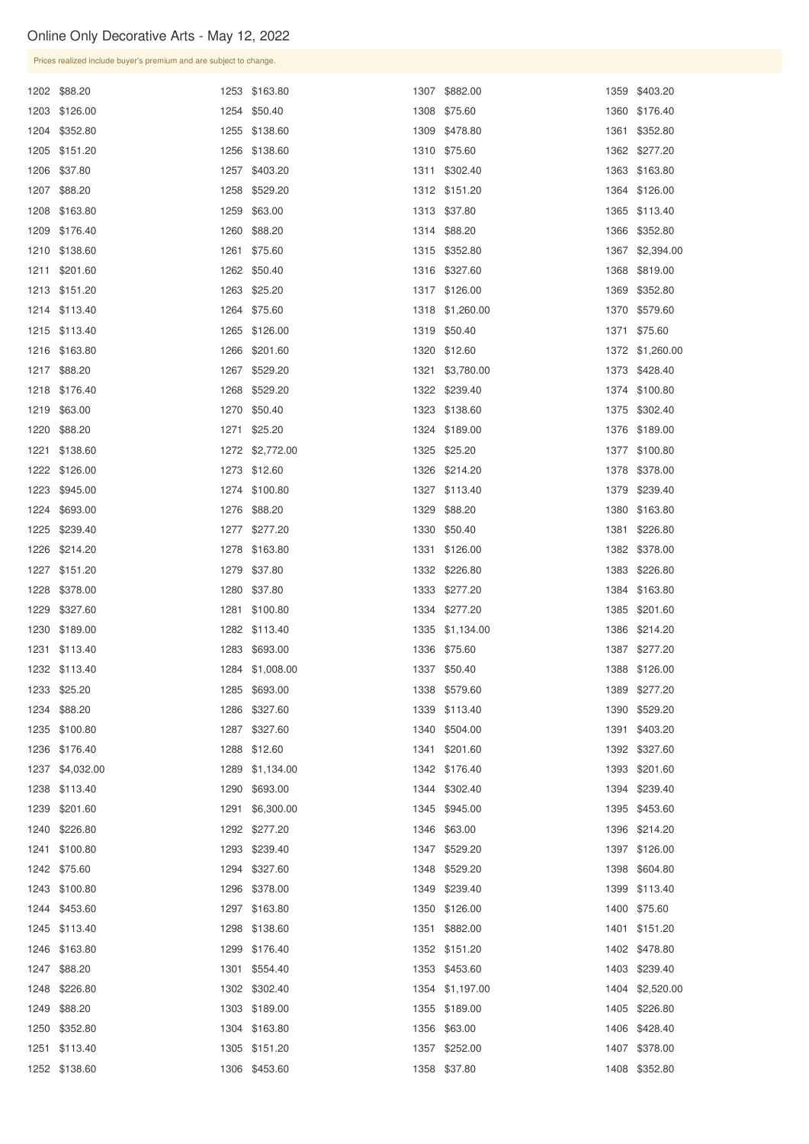| Prices realized include buyer's premium and are subject to change. |      |                 |  |                 |  |                 |  |  |
|--------------------------------------------------------------------|------|-----------------|--|-----------------|--|-----------------|--|--|
| 1202 \$88.20                                                       |      | 1253 \$163.80   |  | 1307 \$882.00   |  | 1359 \$403.20   |  |  |
| 1203 \$126.00                                                      |      | 1254 \$50.40    |  | 1308 \$75.60    |  | 1360 \$176.40   |  |  |
| 1204 \$352.80                                                      |      | 1255 \$138.60   |  | 1309 \$478.80   |  | 1361 \$352.80   |  |  |
| 1205 \$151.20                                                      | 1256 | \$138.60        |  | 1310 \$75.60    |  | 1362 \$277.20   |  |  |
| 1206 \$37.80                                                       |      | 1257 \$403.20   |  | 1311 \$302.40   |  | 1363 \$163.80   |  |  |
| 1207 \$88.20                                                       |      | 1258 \$529.20   |  | 1312 \$151.20   |  | 1364 \$126.00   |  |  |
| 1208 \$163.80                                                      | 1259 | \$63.00         |  | 1313 \$37.80    |  | 1365 \$113.40   |  |  |
| 1209 \$176.40                                                      |      | 1260 \$88.20    |  | 1314 \$88.20    |  | 1366 \$352.80   |  |  |
| 1210 \$138.60                                                      | 1261 | \$75.60         |  | 1315 \$352.80   |  | 1367 \$2,394.00 |  |  |
| 1211 \$201.60                                                      |      | 1262 \$50.40    |  | 1316 \$327.60   |  | 1368 \$819.00   |  |  |
| 1213 \$151.20                                                      | 1263 | \$25.20         |  | 1317 \$126.00   |  | 1369 \$352.80   |  |  |
| 1214 \$113.40                                                      |      | 1264 \$75.60    |  | 1318 \$1,260.00 |  | 1370 \$579.60   |  |  |
| 1215 \$113.40                                                      | 1265 | \$126.00        |  | 1319 \$50.40    |  | 1371 \$75.60    |  |  |
| 1216 \$163.80                                                      |      | 1266 \$201.60   |  | 1320 \$12.60    |  | 1372 \$1,260.00 |  |  |
| 1217 \$88.20                                                       | 1267 | \$529.20        |  | 1321 \$3,780.00 |  | 1373 \$428.40   |  |  |
| 1218 \$176.40                                                      |      | 1268 \$529.20   |  | 1322 \$239.40   |  | 1374 \$100.80   |  |  |
| 1219 \$63.00                                                       |      | 1270 \$50.40    |  | 1323 \$138.60   |  | 1375 \$302.40   |  |  |
| 1220 \$88.20                                                       |      | 1271 \$25.20    |  | 1324 \$189.00   |  | 1376 \$189.00   |  |  |
| 1221 \$138.60                                                      |      | 1272 \$2,772.00 |  | 1325 \$25.20    |  | 1377 \$100.80   |  |  |
| 1222 \$126.00                                                      |      | 1273 \$12.60    |  | 1326 \$214.20   |  | 1378 \$378.00   |  |  |
| 1223 \$945.00                                                      |      | 1274 \$100.80   |  | 1327 \$113.40   |  | 1379 \$239.40   |  |  |
| 1224 \$693.00                                                      |      | 1276 \$88.20    |  | 1329 \$88.20    |  | 1380 \$163.80   |  |  |
| 1225 \$239.40                                                      |      | 1277 \$277.20   |  | 1330 \$50.40    |  | 1381 \$226.80   |  |  |
| 1226 \$214.20                                                      |      | 1278 \$163.80   |  | 1331 \$126.00   |  | 1382 \$378.00   |  |  |
| 1227 \$151.20                                                      |      | 1279 \$37.80    |  | 1332 \$226.80   |  | 1383 \$226.80   |  |  |
| 1228 \$378.00                                                      |      | 1280 \$37.80    |  | 1333 \$277.20   |  | 1384 \$163.80   |  |  |
| 1229 \$327.60                                                      |      | 1281 \$100.80   |  | 1334 \$277.20   |  | 1385 \$201.60   |  |  |
| 1230 \$189.00                                                      |      | 1282 \$113.40   |  | 1335 \$1,134.00 |  | 1386 \$214.20   |  |  |
| 1231 \$113.40                                                      |      | 1283 \$693.00   |  | 1336 \$75.60    |  | 1387 \$277.20   |  |  |
| 1232 \$113.40                                                      |      | 1284 \$1,008.00 |  | 1337 \$50.40    |  | 1388 \$126.00   |  |  |
| 1233 \$25.20                                                       |      | 1285 \$693.00   |  | 1338 \$579.60   |  | 1389 \$277.20   |  |  |
| 1234 \$88.20                                                       |      | 1286 \$327.60   |  | 1339 \$113.40   |  | 1390 \$529.20   |  |  |
| 1235 \$100.80                                                      |      | 1287 \$327.60   |  | 1340 \$504.00   |  | 1391 \$403.20   |  |  |
| 1236 \$176.40                                                      |      | 1288 \$12.60    |  | 1341 \$201.60   |  | 1392 \$327.60   |  |  |
| 1237 \$4,032.00                                                    |      | 1289 \$1,134.00 |  | 1342 \$176.40   |  | 1393 \$201.60   |  |  |
| 1238 \$113.40                                                      | 1290 | \$693.00        |  | 1344 \$302.40   |  | 1394 \$239.40   |  |  |
| 1239 \$201.60                                                      | 1291 | \$6,300.00      |  | 1345 \$945.00   |  | 1395 \$453.60   |  |  |
| 1240 \$226.80                                                      |      | 1292 \$277.20   |  | 1346 \$63.00    |  | 1396 \$214.20   |  |  |
| 1241 \$100.80                                                      |      | 1293 \$239.40   |  | 1347 \$529.20   |  | 1397 \$126.00   |  |  |

| 1242 \$75.60  | 1294 \$327.60 | 1348 \$529.20   | 1398 \$604.80   |
|---------------|---------------|-----------------|-----------------|
| 1243 \$100.80 | 1296 \$378.00 | 1349 \$239.40   | 1399 \$113.40   |
| 1244 \$453.60 | 1297 \$163.80 | 1350 \$126.00   | 1400 \$75.60    |
| 1245 \$113.40 | 1298 \$138.60 | 1351 \$882.00   | 1401 \$151.20   |
| 1246 \$163.80 | 1299 \$176.40 | 1352 \$151.20   | 1402 \$478.80   |
| 1247 \$88.20  | 1301 \$554.40 | 1353 \$453.60   | 1403 \$239.40   |
| 1248 \$226.80 | 1302 \$302.40 | 1354 \$1,197.00 | 1404 \$2,520.00 |
| 1249 \$88.20  | 1303 \$189.00 | 1355 \$189.00   | 1405 \$226.80   |
| 1250 \$352.80 | 1304 \$163.80 | 1356 \$63.00    | 1406 \$428.40   |
| 1251 \$113.40 | 1305 \$151.20 | 1357 \$252.00   | 1407 \$378.00   |
| 1252 \$138.60 | 1306 \$453.60 | 1358 \$37.80    | 1408 \$352.80   |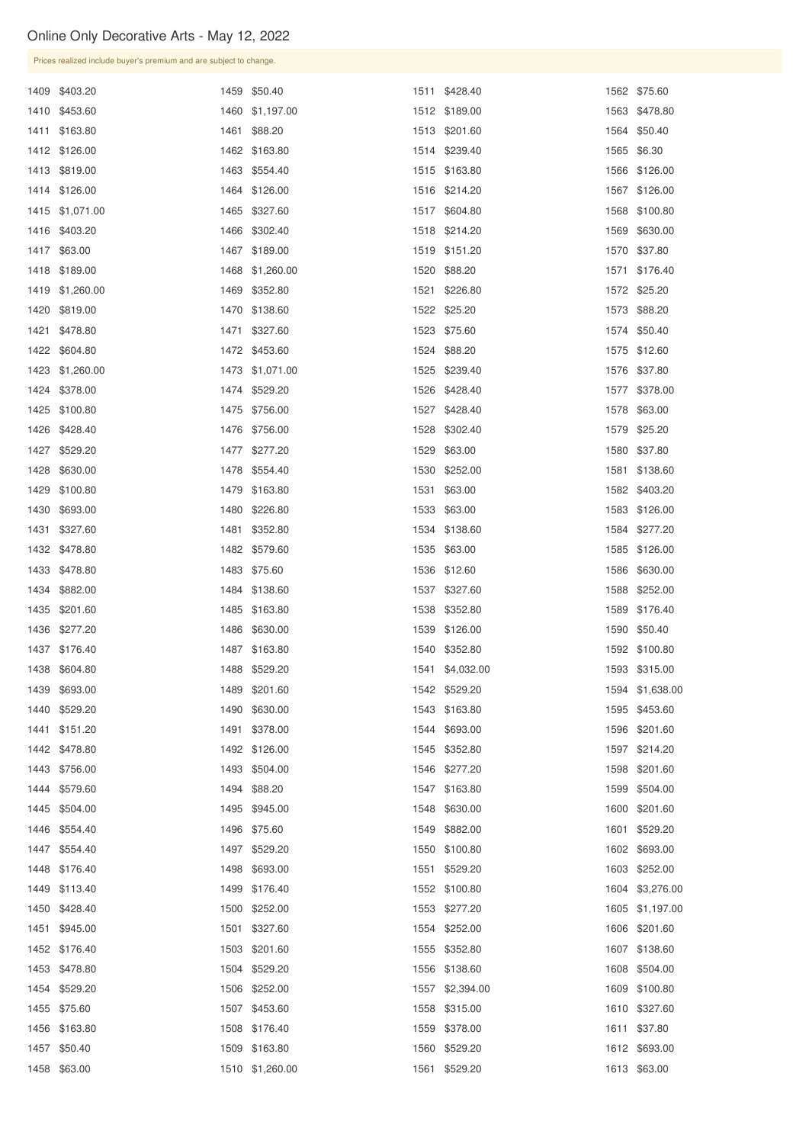| Prices realized include buyer's premium and are subject to change. |  |                 |      |                 |  |                 |  |  |
|--------------------------------------------------------------------|--|-----------------|------|-----------------|--|-----------------|--|--|
| 1409 \$403.20                                                      |  | 1459 \$50.40    |      | 1511 \$428.40   |  | 1562 \$75.60    |  |  |
| 1410 \$453.60                                                      |  | 1460 \$1,197.00 |      | 1512 \$189.00   |  | 1563 \$478.80   |  |  |
| 1411 \$163.80                                                      |  | 1461 \$88.20    |      | 1513 \$201.60   |  | 1564 \$50.40    |  |  |
| 1412 \$126.00                                                      |  | 1462 \$163.80   |      | 1514 \$239.40   |  | 1565 \$6.30     |  |  |
| 1413 \$819.00                                                      |  | 1463 \$554.40   |      | 1515 \$163.80   |  | 1566 \$126.00   |  |  |
| 1414 \$126.00                                                      |  | 1464 \$126.00   |      | 1516 \$214.20   |  | 1567 \$126.00   |  |  |
| 1415 \$1,071.00                                                    |  | 1465 \$327.60   |      | 1517 \$604.80   |  | 1568 \$100.80   |  |  |
| 1416 \$403.20                                                      |  | 1466 \$302.40   |      | 1518 \$214.20   |  | 1569 \$630.00   |  |  |
| 1417 \$63.00                                                       |  | 1467 \$189.00   |      | 1519 \$151.20   |  | 1570 \$37.80    |  |  |
| 1418 \$189.00                                                      |  | 1468 \$1,260.00 |      | 1520 \$88.20    |  | 1571 \$176.40   |  |  |
| 1419 \$1,260.00                                                    |  | 1469 \$352.80   |      | 1521 \$226.80   |  | 1572 \$25.20    |  |  |
| 1420 \$819.00                                                      |  | 1470 \$138.60   |      | 1522 \$25.20    |  | 1573 \$88.20    |  |  |
| 1421 \$478.80                                                      |  | 1471 \$327.60   |      | 1523 \$75.60    |  | 1574 \$50.40    |  |  |
| 1422 \$604.80                                                      |  | 1472 \$453.60   |      | 1524 \$88.20    |  | 1575 \$12.60    |  |  |
| 1423 \$1,260.00                                                    |  | 1473 \$1,071.00 | 1525 | \$239.40        |  | 1576 \$37.80    |  |  |
| 1424 \$378.00                                                      |  | 1474 \$529.20   |      | 1526 \$428.40   |  | 1577 \$378.00   |  |  |
| 1425 \$100.80                                                      |  | 1475 \$756.00   | 1527 | \$428.40        |  | 1578 \$63.00    |  |  |
| 1426 \$428.40                                                      |  | 1476 \$756.00   |      | 1528 \$302.40   |  | 1579 \$25.20    |  |  |
| 1427 \$529.20                                                      |  | 1477 \$277.20   |      | 1529 \$63.00    |  | 1580 \$37.80    |  |  |
| 1428 \$630.00                                                      |  | 1478 \$554.40   |      | 1530 \$252.00   |  | 1581 \$138.60   |  |  |
| 1429 \$100.80                                                      |  | 1479 \$163.80   |      | 1531 \$63.00    |  | 1582 \$403.20   |  |  |
| 1430 \$693.00                                                      |  | 1480 \$226.80   |      | 1533 \$63.00    |  | 1583 \$126.00   |  |  |
| 1431 \$327.60                                                      |  | 1481 \$352.80   |      | 1534 \$138.60   |  | 1584 \$277.20   |  |  |
| 1432 \$478.80                                                      |  | 1482 \$579.60   |      | 1535 \$63.00    |  | 1585 \$126.00   |  |  |
| 1433 \$478.80                                                      |  | 1483 \$75.60    |      | 1536 \$12.60    |  | 1586 \$630.00   |  |  |
| 1434 \$882.00                                                      |  | 1484 \$138.60   |      | 1537 \$327.60   |  | 1588 \$252.00   |  |  |
| 1435 \$201.60                                                      |  | 1485 \$163.80   |      | 1538 \$352.80   |  | 1589 \$176.40   |  |  |
| 1436 \$277.20                                                      |  | 1486 \$630.00   |      | 1539 \$126.00   |  | 1590 \$50.40    |  |  |
| 1437 \$176.40                                                      |  | 1487 \$163.80   |      | 1540 \$352.80   |  | 1592 \$100.80   |  |  |
| 1438 \$604.80                                                      |  | 1488 \$529.20   |      | 1541 \$4,032.00 |  | 1593 \$315.00   |  |  |
| 1439 \$693.00                                                      |  | 1489 \$201.60   |      | 1542 \$529.20   |  | 1594 \$1,638.00 |  |  |
| 1440 \$529.20                                                      |  | 1490 \$630.00   |      | 1543 \$163.80   |  | 1595 \$453.60   |  |  |
| 1441 \$151.20                                                      |  | 1491 \$378.00   |      | 1544 \$693.00   |  | 1596 \$201.60   |  |  |
| 1442 \$478.80                                                      |  | 1492 \$126.00   |      | 1545 \$352.80   |  | 1597 \$214.20   |  |  |
| 1443 \$756.00                                                      |  | 1493 \$504.00   |      | 1546 \$277.20   |  | 1598 \$201.60   |  |  |
| 1444 \$579.60                                                      |  | 1494 \$88.20    |      | 1547 \$163.80   |  | 1599 \$504.00   |  |  |
| 1445 \$504.00                                                      |  | 1495 \$945.00   |      | 1548 \$630.00   |  | 1600 \$201.60   |  |  |
| 1446 \$554.40                                                      |  | 1496 \$75.60    |      | 1549 \$882.00   |  | 1601 \$529.20   |  |  |
| 1447 \$554.40                                                      |  | 1497 \$529.20   |      | 1550 \$100.80   |  | 1602 \$693.00   |  |  |

| 1448 \$176.40 | 1498 \$693.00   | 1551 \$529.20   | 1603 \$252.00   |
|---------------|-----------------|-----------------|-----------------|
| 1449 \$113.40 | 1499 \$176.40   | 1552 \$100.80   | 1604 \$3,276.00 |
| 1450 \$428.40 | 1500 \$252.00   | 1553 \$277.20   | 1605 \$1,197.00 |
| 1451 \$945.00 | 1501 \$327.60   | 1554 \$252.00   | 1606 \$201.60   |
| 1452 \$176.40 | 1503 \$201.60   | 1555 \$352.80   | 1607 \$138.60   |
| 1453 \$478.80 | 1504 \$529.20   | 1556 \$138.60   | 1608 \$504.00   |
| 1454 \$529.20 | 1506 \$252.00   | 1557 \$2,394.00 | 1609 \$100.80   |
| 1455 \$75.60  | 1507 \$453.60   | 1558 \$315.00   | 1610 \$327.60   |
| 1456 \$163.80 | 1508 \$176.40   | 1559 \$378.00   | 1611 \$37.80    |
| 1457 \$50.40  | 1509 \$163.80   | 1560 \$529.20   | 1612 \$693.00   |
| 1458 \$63.00  | 1510 \$1,260.00 | 1561 \$529.20   | 1613 \$63.00    |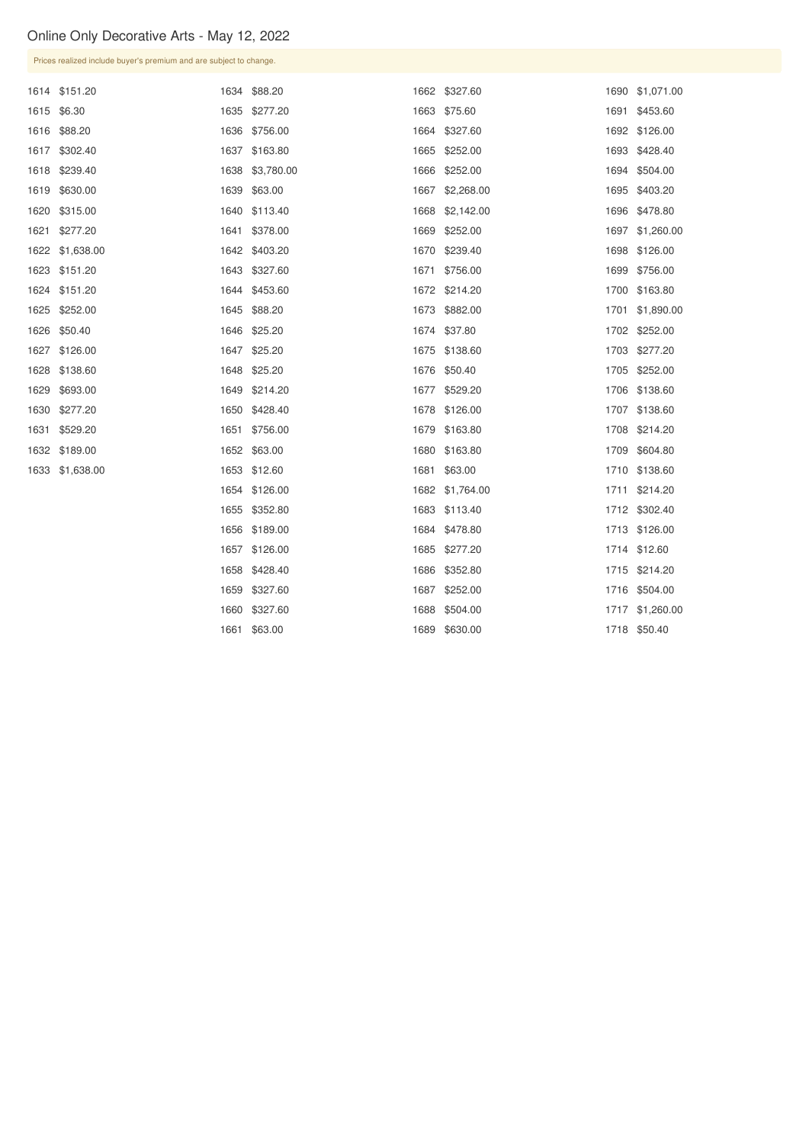\$327.60 \$63.00

|      | Prices realized include buyer's premium and are subject to change. |      |               |      |                 |      |               |  |  |
|------|--------------------------------------------------------------------|------|---------------|------|-----------------|------|---------------|--|--|
|      | 1614 \$151.20                                                      | 1634 | \$88.20       |      | 1662 \$327.60   | 1690 | \$1,071.00    |  |  |
|      | 1615 \$6.30                                                        |      | 1635 \$277.20 |      | 1663 \$75.60    | 1691 | \$453.60      |  |  |
|      | 1616 \$88.20                                                       |      | 1636 \$756.00 |      | 1664 \$327.60   | 1692 | \$126.00      |  |  |
|      | 1617 \$302.40                                                      | 1637 | \$163.80      |      | 1665 \$252.00   | 1693 | \$428.40      |  |  |
|      | 1618 \$239.40                                                      | 1638 | \$3,780.00    | 1666 | \$252.00        | 1694 | \$504.00      |  |  |
|      | 1619 \$630.00                                                      |      | 1639 \$63.00  |      | 1667 \$2,268.00 | 1695 | \$403.20      |  |  |
|      | 1620 \$315.00                                                      | 1640 | \$113.40      | 1668 | \$2,142.00      | 1696 | \$478.80      |  |  |
|      | 1621 \$277.20                                                      | 1641 | \$378.00      | 1669 | \$252.00        | 1697 | \$1,260.00    |  |  |
|      | 1622 \$1,638.00                                                    |      | 1642 \$403.20 |      | 1670 \$239.40   | 1698 | \$126.00      |  |  |
|      | 1623 \$151.20                                                      | 1643 | \$327.60      | 1671 | \$756.00        | 1699 | \$756.00      |  |  |
|      | 1624 \$151.20                                                      |      | 1644 \$453.60 |      | 1672 \$214.20   |      | 1700 \$163.80 |  |  |
| 1625 | \$252.00                                                           | 1645 | \$88.20       |      | 1673 \$882.00   | 1701 | \$1,890.00    |  |  |
|      | 1626 \$50.40                                                       | 1646 | \$25.20       |      | 1674 \$37.80    |      | 1702 \$252.00 |  |  |
| 1627 | \$126.00                                                           | 1647 | \$25.20       |      | 1675 \$138.60   | 1703 | \$277.20      |  |  |
|      | 1628 \$138.60                                                      | 1648 | \$25.20       |      | 1676 \$50.40    | 1705 | \$252.00      |  |  |
| 1629 | \$693.00                                                           | 1649 | \$214.20      | 1677 | \$529.20        | 1706 | \$138.60      |  |  |
|      | 1630 \$277.20                                                      | 1650 | \$428.40      |      | 1678 \$126.00   |      | 1707 \$138.60 |  |  |
| 1631 | \$529.20                                                           | 1651 | \$756.00      |      | 1679 \$163.80   | 1708 | \$214.20      |  |  |
|      | 1632 \$189.00                                                      |      | 1652 \$63.00  |      | 1680 \$163.80   | 1709 | \$604.80      |  |  |
|      | 1633 \$1,638.00                                                    |      | 1653 \$12.60  |      | 1681 \$63.00    |      | 1710 \$138.60 |  |  |
|      |                                                                    |      | 1654 \$126.00 |      | 1682 \$1,764.00 |      | 1711 \$214.20 |  |  |
|      |                                                                    |      | 1655 \$352.80 |      | 1683 \$113.40   |      | 1712 \$302.40 |  |  |
|      |                                                                    |      | 1656 \$189.00 |      | 1684 \$478.80   |      | 1713 \$126.00 |  |  |
|      |                                                                    |      | 1657 \$126.00 |      | 1685 \$277.20   |      | 1714 \$12.60  |  |  |
|      |                                                                    |      | 1658 \$428.40 |      | 1686 \$352.80   |      | 1715 \$214.20 |  |  |
|      |                                                                    |      | 1659 \$327.60 |      | 1687 \$252.00   |      | 1716 \$504.00 |  |  |

 \$504.00 \$630.00

\$1,260.00

\$50.40